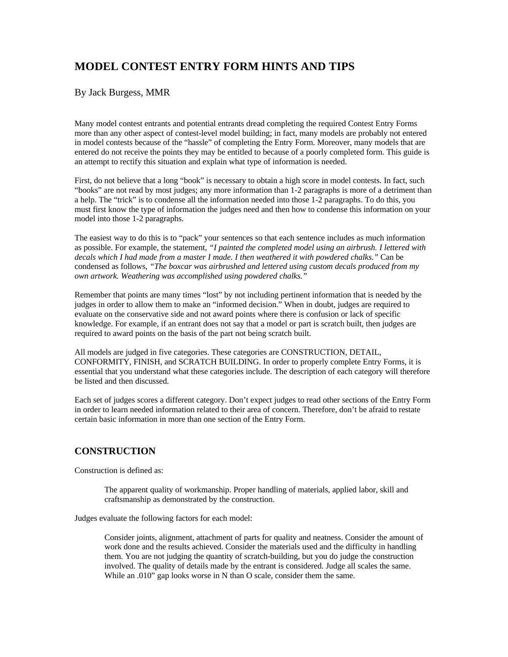# **MODEL CONTEST ENTRY FORM HINTS AND TIPS**

### By Jack Burgess, MMR

Many model contest entrants and potential entrants dread completing the required Contest Entry Forms more than any other aspect of contest-level model building; in fact, many models are probably not entered in model contests because of the "hassle" of completing the Entry Form. Moreover, many models that are entered do not receive the points they may be entitled to because of a poorly completed form. This guide is an attempt to rectify this situation and explain what type of information is needed.

First, do not believe that a long "book" is necessary to obtain a high score in model contests. In fact, such "books" are not read by most judges; any more information than 1-2 paragraphs is more of a detriment than a help. The "trick" is to condense all the information needed into those 1-2 paragraphs. To do this, you must first know the type of information the judges need and then how to condense this information on your model into those 1-2 paragraphs.

The easiest way to do this is to "pack" your sentences so that each sentence includes as much information as possible. For example, the statement, *"I painted the completed model using an airbrush. I lettered with decals which I had made from a master I made. I then weathered it with powdered chalks."* Can be condensed as follows, *"The boxcar was airbrushed and lettered using custom decals produced from my own artwork. Weathering was accomplished using powdered chalks."*

Remember that points are many times "lost" by not including pertinent information that is needed by the judges in order to allow them to make an "informed decision." When in doubt, judges are required to evaluate on the conservative side and not award points where there is confusion or lack of specific knowledge. For example, if an entrant does not say that a model or part is scratch built, then judges are required to award points on the basis of the part not being scratch built.

All models are judged in five categories. These categories are CONSTRUCTION, DETAIL, CONFORMITY, FINISH, and SCRATCH BUILDING. In order to properly complete Entry Forms, it is essential that you understand what these categories include. The description of each category will therefore be listed and then discussed.

Each set of judges scores a different category. Don't expect judges to read other sections of the Entry Form in order to learn needed information related to their area of concern. Therefore, don't be afraid to restate certain basic information in more than one section of the Entry Form.

## **CONSTRUCTION**

Construction is defined as:

The apparent quality of workmanship. Proper handling of materials, applied labor, skill and craftsmanship as demonstrated by the construction.

Judges evaluate the following factors for each model:

Consider joints, alignment, attachment of parts for quality and neatness. Consider the amount of work done and the results achieved. Consider the materials used and the difficulty in handling them. You are not judging the quantity of scratch-building, but you do judge the construction involved. The quality of details made by the entrant is considered. Judge all scales the same. While an .010" gap looks worse in N than O scale, consider them the same.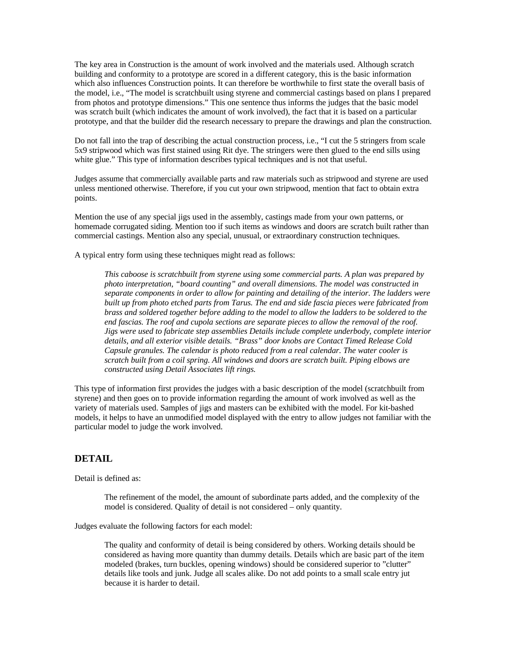The key area in Construction is the amount of work involved and the materials used. Although scratch building and conformity to a prototype are scored in a different category, this is the basic information which also influences Construction points. It can therefore be worthwhile to first state the overall basis of the model, i.e., "The model is scratchbuilt using styrene and commercial castings based on plans I prepared from photos and prototype dimensions." This one sentence thus informs the judges that the basic model was scratch built (which indicates the amount of work involved), the fact that it is based on a particular prototype, and that the builder did the research necessary to prepare the drawings and plan the construction.

Do not fall into the trap of describing the actual construction process, i.e., "I cut the 5 stringers from scale 5x9 stripwood which was first stained using Rit dye. The stringers were then glued to the end sills using white glue." This type of information describes typical techniques and is not that useful.

Judges assume that commercially available parts and raw materials such as stripwood and styrene are used unless mentioned otherwise. Therefore, if you cut your own stripwood, mention that fact to obtain extra points.

Mention the use of any special jigs used in the assembly, castings made from your own patterns, or homemade corrugated siding. Mention too if such items as windows and doors are scratch built rather than commercial castings. Mention also any special, unusual, or extraordinary construction techniques.

A typical entry form using these techniques might read as follows:

*This caboose is scratchbuilt from styrene using some commercial parts. A plan was prepared by photo interpretation, "board counting" and overall dimensions. The model was constructed in separate components in order to allow for painting and detailing of the interior. The ladders were built up from photo etched parts from Tarus. The end and side fascia pieces were fabricated from brass and soldered together before adding to the model to allow the ladders to be soldered to the end fascias. The roof and cupola sections are separate pieces to allow the removal of the roof. Jigs were used to fabricate step assemblies Details include complete underbody, complete interior details, and all exterior visible details. "Brass" door knobs are Contact Timed Release Cold Capsule granules. The calendar is photo reduced from a real calendar. The water cooler is scratch built from a coil spring. All windows and doors are scratch built. Piping elbows are constructed using Detail Associates lift rings.*

This type of information first provides the judges with a basic description of the model (scratchbuilt from styrene) and then goes on to provide information regarding the amount of work involved as well as the variety of materials used. Samples of jigs and masters can be exhibited with the model. For kit-bashed models, it helps to have an unmodified model displayed with the entry to allow judges not familiar with the particular model to judge the work involved.

#### **DETAIL**

Detail is defined as:

The refinement of the model, the amount of subordinate parts added, and the complexity of the model is considered. Quality of detail is not considered – only quantity.

Judges evaluate the following factors for each model:

The quality and conformity of detail is being considered by others. Working details should be considered as having more quantity than dummy details. Details which are basic part of the item modeled (brakes, turn buckles, opening windows) should be considered superior to "clutter" details like tools and junk. Judge all scales alike. Do not add points to a small scale entry jut because it is harder to detail.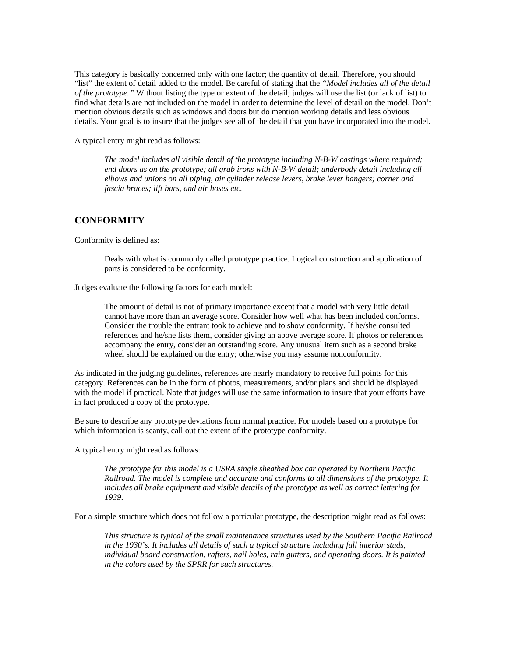This category is basically concerned only with one factor; the quantity of detail. Therefore, you should "list" the extent of detail added to the model. Be careful of stating that the *"Model includes all of the detail of the prototype."* Without listing the type or extent of the detail; judges will use the list (or lack of list) to find what details are not included on the model in order to determine the level of detail on the model. Don't mention obvious details such as windows and doors but do mention working details and less obvious details. Your goal is to insure that the judges see all of the detail that you have incorporated into the model.

A typical entry might read as follows:

*The model includes all visible detail of the prototype including N-B-W castings where required; end doors as on the prototype; all grab irons with N-B-W detail; underbody detail including all elbows and unions on all piping, air cylinder release levers, brake lever hangers; corner and fascia braces; lift bars, and air hoses etc.*

#### **CONFORMITY**

Conformity is defined as:

Deals with what is commonly called prototype practice. Logical construction and application of parts is considered to be conformity.

Judges evaluate the following factors for each model:

The amount of detail is not of primary importance except that a model with very little detail cannot have more than an average score. Consider how well what has been included conforms. Consider the trouble the entrant took to achieve and to show conformity. If he/she consulted references and he/she lists them, consider giving an above average score. If photos or references accompany the entry, consider an outstanding score. Any unusual item such as a second brake wheel should be explained on the entry; otherwise you may assume nonconformity.

As indicated in the judging guidelines, references are nearly mandatory to receive full points for this category. References can be in the form of photos, measurements, and/or plans and should be displayed with the model if practical. Note that judges will use the same information to insure that your efforts have in fact produced a copy of the prototype.

Be sure to describe any prototype deviations from normal practice. For models based on a prototype for which information is scanty, call out the extent of the prototype conformity.

A typical entry might read as follows:

*The prototype for this model is a USRA single sheathed box car operated by Northern Pacific Railroad. The model is complete and accurate and conforms to all dimensions of the prototype. It includes all brake equipment and visible details of the prototype as well as correct lettering for 1939.*

For a simple structure which does not follow a particular prototype, the description might read as follows:

*This structure is typical of the small maintenance structures used by the Southern Pacific Railroad in the 1930's. It includes all details of such a typical structure including full interior studs, individual board construction, rafters, nail holes, rain gutters, and operating doors. It is painted in the colors used by the SPRR for such structures.*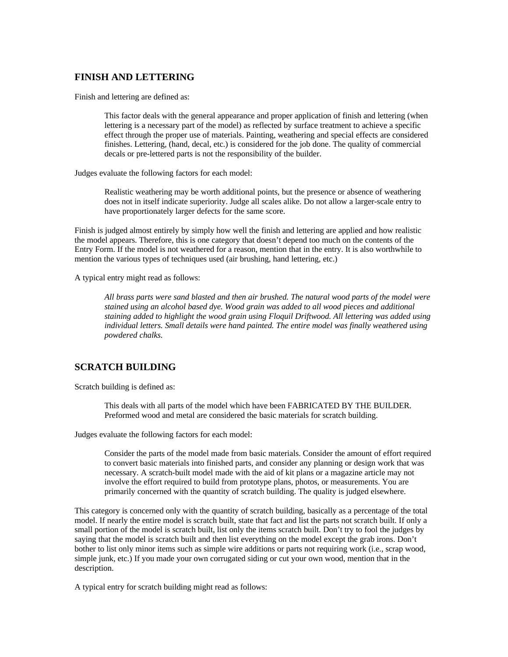## **FINISH AND LETTERING**

Finish and lettering are defined as:

This factor deals with the general appearance and proper application of finish and lettering (when lettering is a necessary part of the model) as reflected by surface treatment to achieve a specific effect through the proper use of materials. Painting, weathering and special effects are considered finishes. Lettering, (hand, decal, etc.) is considered for the job done. The quality of commercial decals or pre-lettered parts is not the responsibility of the builder.

Judges evaluate the following factors for each model:

Realistic weathering may be worth additional points, but the presence or absence of weathering does not in itself indicate superiority. Judge all scales alike. Do not allow a larger-scale entry to have proportionately larger defects for the same score.

Finish is judged almost entirely by simply how well the finish and lettering are applied and how realistic the model appears. Therefore, this is one category that doesn't depend too much on the contents of the Entry Form. If the model is not weathered for a reason, mention that in the entry. It is also worthwhile to mention the various types of techniques used (air brushing, hand lettering, etc.)

A typical entry might read as follows:

*All brass parts were sand blasted and then air brushed. The natural wood parts of the model were stained using an alcohol based dye. Wood grain was added to all wood pieces and additional staining added to highlight the wood grain using Floquil Driftwood. All lettering was added using individual letters. Small details were hand painted. The entire model was finally weathered using powdered chalks.*

#### **SCRATCH BUILDING**

Scratch building is defined as:

This deals with all parts of the model which have been FABRICATED BY THE BUILDER. Preformed wood and metal are considered the basic materials for scratch building.

Judges evaluate the following factors for each model:

Consider the parts of the model made from basic materials. Consider the amount of effort required to convert basic materials into finished parts, and consider any planning or design work that was necessary. A scratch-built model made with the aid of kit plans or a magazine article may not involve the effort required to build from prototype plans, photos, or measurements. You are primarily concerned with the quantity of scratch building. The quality is judged elsewhere.

This category is concerned only with the quantity of scratch building, basically as a percentage of the total model. If nearly the entire model is scratch built, state that fact and list the parts not scratch built. If only a small portion of the model is scratch built, list only the items scratch built. Don't try to fool the judges by saying that the model is scratch built and then list everything on the model except the grab irons. Don't bother to list only minor items such as simple wire additions or parts not requiring work (i.e., scrap wood, simple junk, etc.) If you made your own corrugated siding or cut your own wood, mention that in the description.

A typical entry for scratch building might read as follows: